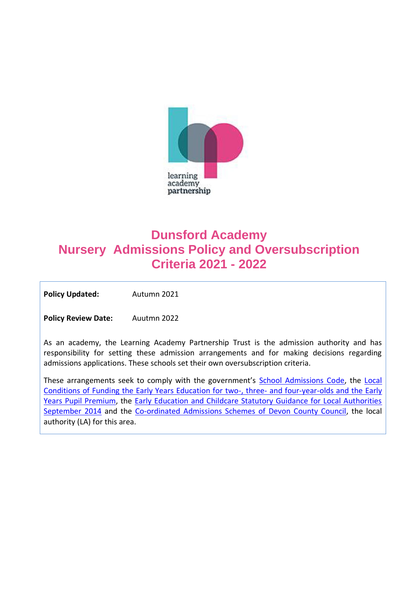

# **Dunsford Academy Nursery Admissions Policy and Oversubscription Criteria 2021 - 2022**

Policy Updated: Autumn 2021

**Policy Review Date:** Auutmn 2022

As an academy, the Learning Academy Partnership Trust is the admission authority and has responsibility for setting these admission arrangements and for making decisions regarding admissions applications. These schools set their own oversubscription criteria.

These arrangements seek to comply with the government's [School Admissions Code,](https://www.gov.uk/government/publications/school-admissions-code--2) the [Local](https://www.devon.gov.uk/eycs/for-providers/business-finance-and-funding/early-education-for-2-3-and-4-year-olds/)  [Conditions of Funding the Early Years Education for two-, three-](https://www.devon.gov.uk/eycs/for-providers/business-finance-and-funding/early-education-for-2-3-and-4-year-olds/) and four-year-olds and the Early [Years Pupil Premium,](https://www.devon.gov.uk/eycs/for-providers/business-finance-and-funding/early-education-for-2-3-and-4-year-olds/) the [Early Education and Childcare Statutory Guidance for Local Authorities](https://www.gov.uk/government/publications/early-education-and-childcare--2)  [September 2014](https://www.gov.uk/government/publications/early-education-and-childcare--2) and the [Co-ordinated Admissions Schemes of Devon County Council,](https://new.devon.gov.uk/educationandfamilies/school-information/apply-for-a-school-place/arrangements-and-policies) the local authority (LA) for this area.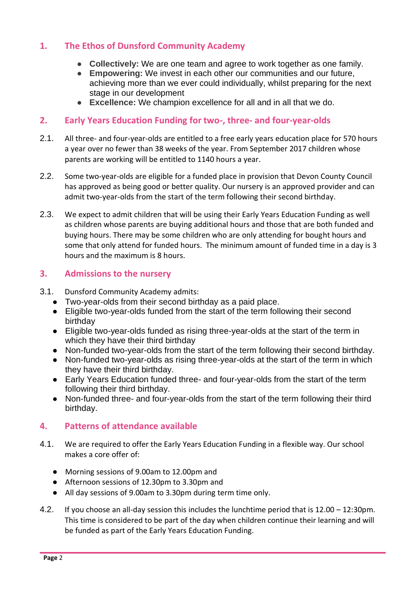### **1. The Ethos of Dunsford Community Academy**

- **Collectively:** We are one team and agree to work together as one family.
- **Empowering:** We invest in each other our communities and our future, achieving more than we ever could individually, whilst preparing for the next stage in our development
- **Excellence:** We champion excellence for all and in all that we do.

#### **2. Early Years Education Funding for two-, three- and four-year-olds**

- 2.1. All three- and four-year-olds are entitled to a free early years education place for 570 hours a year over no fewer than 38 weeks of the year. From September 2017 children whose parents are working will be entitled to 1140 hours a year.
- 2.2. Some two-year-olds are eligible for a funded place in provision that Devon County Council has approved as being good or better quality. Our nursery is an approved provider and can admit two-year-olds from the start of the term following their second birthday.
- 2.3. We expect to admit children that will be using their Early Years Education Funding as well as children whose parents are buying additional hours and those that are both funded and buying hours. There may be some children who are only attending for bought hours and some that only attend for funded hours. The minimum amount of funded time in a day is 3 hours and the maximum is 8 hours.

### **3. Admissions to the nursery**

- 3.1. Dunsford Community Academy admits:
	- Two-year-olds from their second birthday as a paid place.
	- Eligible two-year-olds funded from the start of the term following their second birthday
	- Eligible two-year-olds funded as rising three-year-olds at the start of the term in which they have their third birthday
	- Non-funded two-year-olds from the start of the term following their second birthday.
	- Non-funded two-year-olds as rising three-year-olds at the start of the term in which they have their third birthday.
	- Early Years Education funded three- and four-year-olds from the start of the term following their third birthday.
	- Non-funded three- and four-year-olds from the start of the term following their third birthday.

### **4. Patterns of attendance available**

- 4.1. We are required to offer the Early Years Education Funding in a flexible way. Our school makes a core offer of:
	- Morning sessions of 9.00am to 12.00pm and
	- Afternoon sessions of 12.30pm to 3.30pm and
	- All day sessions of 9.00am to 3.30pm during term time only.
- 4.2. If you choose an all-day session this includes the lunchtime period that is 12.00 12:30pm. This time is considered to be part of the day when children continue their learning and will be funded as part of the Early Years Education Funding.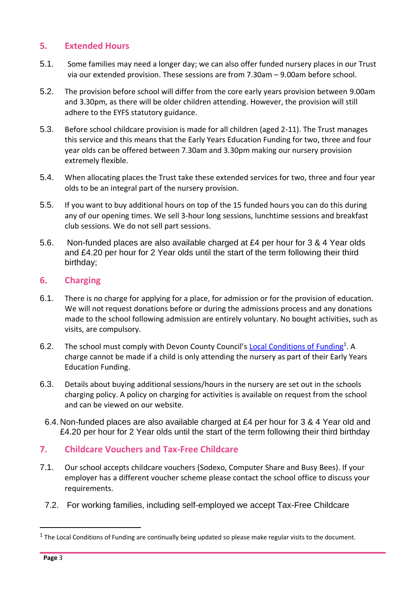### **5. Extended Hours**

- 5.1. Some families may need a longer day; we can also offer funded nursery places in our Trust via our extended provision. These sessions are from 7.30am – 9.00am before school.
- 5.2. The provision before school will differ from the core early years provision between 9.00am and 3.30pm, as there will be older children attending. However, the provision will still adhere to the EYFS statutory guidance.
- 5.3. Before school childcare provision is made for all children (aged 2-11). The Trust manages this service and this means that the Early Years Education Funding for two, three and four year olds can be offered between 7.30am and 3.30pm making our nursery provision extremely flexible.
- 5.4. When allocating places the Trust take these extended services for two, three and four year olds to be an integral part of the nursery provision.
- 5.5. If you want to buy additional hours on top of the 15 funded hours you can do this during any of our opening times. We sell 3-hour long sessions, lunchtime sessions and breakfast club sessions. We do not sell part sessions.
- 5.6. Non-funded places are also available charged at £4 per hour for 3 & 4 Year olds and £4.20 per hour for 2 Year olds until the start of the term following their third birthday;

### **6. Charging**

- 6.1. There is no charge for applying for a place, for admission or for the provision of education. We will not request donations before or during the admissions process and any donations made to the school following admission are entirely voluntary. No bought activities, such as visits, are compulsory.
- 6.2. The school must comply with Devon County Council's [Local Conditions of Funding](https://www.devon.gov.uk/eycs/for-providers/business-finance-and-funding/early-education-for-2-3-and-4-year-olds/)<sup>1</sup>. A charge cannot be made if a child is only attending the nursery as part of their Early Years Education Funding.
- 6.3. Details about buying additional sessions/hours in the nursery are set out in the schools charging policy. A policy on charging for activities is available on request from the school and can be viewed on our website.
- 6.4.Non-funded places are also available charged at £4 per hour for 3 & 4 Year old and £4.20 per hour for 2 Year olds until the start of the term following their third birthday

### **7. Childcare Vouchers and Tax-Free Childcare**

- 7.1. Our school accepts childcare vouchers (Sodexo, Computer Share and Busy Bees). If your employer has a different voucher scheme please contact the school office to discuss your requirements.
- 7.2. For working families, including self-employed we accept Tax-Free Childcare

 $<sup>1</sup>$  The Local Conditions of Funding are continually being updated so please make regular visits to the document.</sup>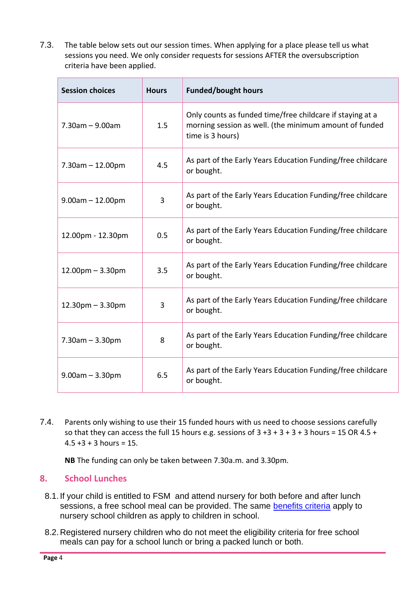7.3. The table below sets out our session times. When applying for a place please tell us what sessions you need. We only consider requests for sessions AFTER the oversubscription criteria have been applied.

| <b>Session choices</b> | <b>Hours</b> | <b>Funded/bought hours</b>                                                                                                              |  |
|------------------------|--------------|-----------------------------------------------------------------------------------------------------------------------------------------|--|
| $7.30$ am $- 9.00$ am  | 1.5          | Only counts as funded time/free childcare if staying at a<br>morning session as well. (the minimum amount of funded<br>time is 3 hours) |  |
| $7.30$ am $- 12.00$ pm | 4.5          | As part of the Early Years Education Funding/free childcare<br>or bought.                                                               |  |
| $9.00am - 12.00pm$     | 3            | As part of the Early Years Education Funding/free childcare<br>or bought.                                                               |  |
| 12.00pm - 12.30pm      | 0.5          | As part of the Early Years Education Funding/free childcare<br>or bought.                                                               |  |
| $12.00$ pm $- 3.30$ pm | 3.5          | As part of the Early Years Education Funding/free childcare<br>or bought.                                                               |  |
| $12.30pm - 3.30pm$     | 3            | As part of the Early Years Education Funding/free childcare<br>or bought.                                                               |  |
| $7.30$ am $- 3.30$ pm  | 8            | As part of the Early Years Education Funding/free childcare<br>or bought.                                                               |  |
| $9.00am - 3.30pm$      | 6.5          | As part of the Early Years Education Funding/free childcare<br>or bought.                                                               |  |

7.4. Parents only wishing to use their 15 funded hours with us need to choose sessions carefully so that they can access the full 15 hours e.g. sessions of  $3 + 3 + 3 + 3 + 3$  hours = 15 OR 4.5 +  $4.5 + 3 + 3$  hours = 15.

**NB** The funding can only be taken between 7.30a.m. and 3.30pm.

### **8. School Lunches**

- 8.1. If your child is entitled to FSM and attend nursery for both before and after lunch sessions, a free school meal can be provided. The same [benefits criteria](https://new.devon.gov.uk/educationandfamilies/school-information/school-meals) apply to nursery school children as apply to children in school.
- 8.2.Registered nursery children who do not meet the eligibility criteria for free school meals can pay for a school lunch or bring a packed lunch or both.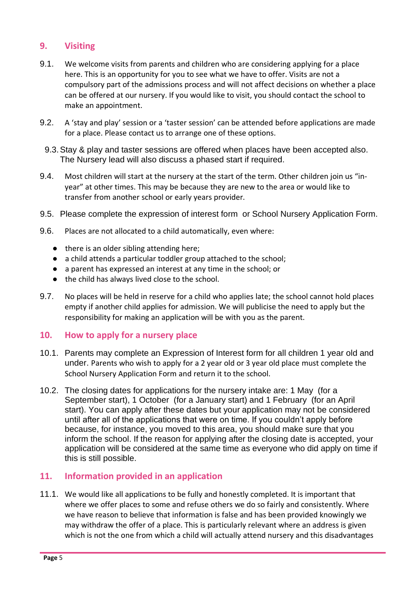### **9. Visiting**

- 9.1. We welcome visits from parents and children who are considering applying for a place here. This is an opportunity for you to see what we have to offer. Visits are not a compulsory part of the admissions process and will not affect decisions on whether a place can be offered at our nursery. If you would like to visit, you should contact the school to make an appointment.
- 9.2. A 'stay and play' session or a 'taster session' can be attended before applications are made for a place. Please contact us to arrange one of these options.
- 9.3.Stay & play and taster sessions are offered when places have been accepted also. The Nursery lead will also discuss a phased start if required.
- 9.4. Most children will start at the nursery at the start of the term. Other children join us "inyear" at other times. This may be because they are new to the area or would like to transfer from another school or early years provider.
- 9.5. Please complete the expression of interest form or School Nursery Application Form.
- 9.6. Places are not allocated to a child automatically, even where:
	- there is an older sibling attending here;
	- a child attends a particular toddler group attached to the school;
	- a parent has expressed an interest at any time in the school; or
	- the child has always lived close to the school.
- 9.7. No places will be held in reserve for a child who applies late; the school cannot hold places empty if another child applies for admission. We will publicise the need to apply but the responsibility for making an application will be with you as the parent.

#### **10. How to apply for a nursery place**

- 10.1. Parents may complete an Expression of Interest form for all children 1 year old and under. Parents who wish to apply for a 2 year old or 3 year old place must complete the School Nursery Application Form and return it to the school.
- 10.2. The closing dates for applications for the nursery intake are: 1 May (for a September start), 1 October (for a January start) and 1 February (for an April start). You can apply after these dates but your application may not be considered until after all of the applications that were on time. If you couldn't apply before because, for instance, you moved to this area, you should make sure that you inform the school. If the reason for applying after the closing date is accepted, your application will be considered at the same time as everyone who did apply on time if this is still possible.

### **11. Information provided in an application**

11.1. We would like all applications to be fully and honestly completed. It is important that where we offer places to some and refuse others we do so fairly and consistently. Where we have reason to believe that information is false and has been provided knowingly we may withdraw the offer of a place. This is particularly relevant where an address is given which is not the one from which a child will actually attend nursery and this disadvantages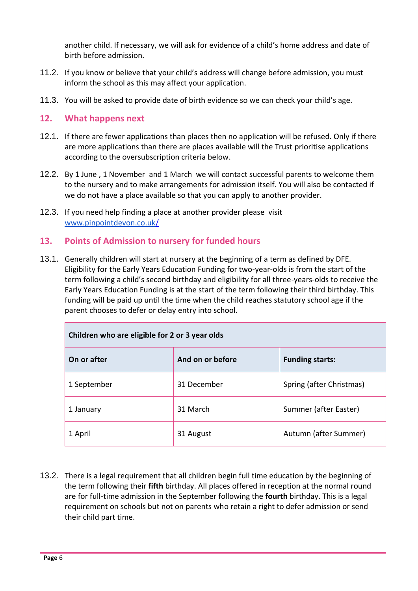another child. If necessary, we will ask for evidence of a child's home address and date of birth before admission.

- 11.2. If you know or believe that your child's address will change before admission, you must inform the school as this may affect your application.
- 11.3. You will be asked to provide date of birth evidence so we can check your child's age.

#### **12. What happens next**

- 12.1. If there are fewer applications than places then no application will be refused. Only if there are more applications than there are places available will the Trust prioritise applications according to the oversubscription criteria below.
- 12.2. By 1 June , 1 November and 1 March we will contact successful parents to welcome them to the nursery and to make arrangements for admission itself. You will also be contacted if we do not have a place available so that you can apply to another provider.
- 12.3. If you need help finding a place at another provider please visit [www.pinpointdevon.co.uk/](http://www.pinpointdevon.co.uk/)

#### **13. Points of Admission to nursery for funded hours**

13.1. Generally children will start at nursery at the beginning of a term as defined by DFE. Eligibility for the Early Years Education Funding for two-year-olds is from the start of the term following a child's second birthday and eligibility for all three-years-olds to receive the Early Years Education Funding is at the start of the term following their third birthday. This funding will be paid up until the time when the child reaches statutory school age if the parent chooses to defer or delay entry into school.

| Children who are eligible for 2 or 3 year olds |                  |                          |  |  |
|------------------------------------------------|------------------|--------------------------|--|--|
| On or after                                    | And on or before | <b>Funding starts:</b>   |  |  |
| 1 September                                    | 31 December      | Spring (after Christmas) |  |  |
| 1 January                                      | 31 March         | Summer (after Easter)    |  |  |
| 1 April                                        | 31 August        | Autumn (after Summer)    |  |  |

13.2. There is a legal requirement that all children begin full time education by the beginning of the term following their **fifth** birthday. All places offered in reception at the normal round are for full-time admission in the September following the **fourth** birthday. This is a legal requirement on schools but not on parents who retain a right to defer admission or send their child part time.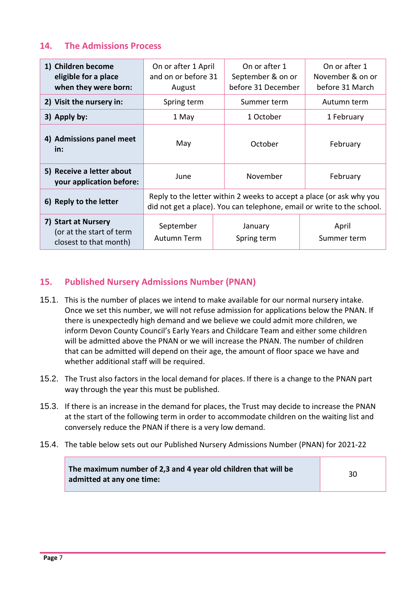### **14. The Admissions Process**

| 1) Children become<br>eligible for a place<br>when they were born:        | On or after 1 April<br>and on or before 31<br>August                                                                                           | On or after 1<br>September & on or<br>before 31 December | On or after 1<br>November & on or<br>before 31 March |
|---------------------------------------------------------------------------|------------------------------------------------------------------------------------------------------------------------------------------------|----------------------------------------------------------|------------------------------------------------------|
| 2) Visit the nursery in:                                                  | Spring term                                                                                                                                    | Summer term                                              | Autumn term                                          |
| 3) Apply by:                                                              | 1 May                                                                                                                                          | 1 October                                                | 1 February                                           |
| 4) Admissions panel meet<br>in:                                           | May                                                                                                                                            | October                                                  | February                                             |
| 5) Receive a letter about<br>your application before:                     | June                                                                                                                                           | November                                                 | February                                             |
| 6) Reply to the letter                                                    | Reply to the letter within 2 weeks to accept a place (or ask why you<br>did not get a place). You can telephone, email or write to the school. |                                                          |                                                      |
| 7) Start at Nursery<br>(or at the start of term<br>closest to that month) | September<br>Autumn Term                                                                                                                       | January<br>Spring term                                   | April<br>Summer term                                 |

### **15. Published Nursery Admissions Number (PNAN)**

- 15.1. This is the number of places we intend to make available for our normal nursery intake. Once we set this number, we will not refuse admission for applications below the PNAN. If there is unexpectedly high demand and we believe we could admit more children, we inform Devon County Council's Early Years and Childcare Team and either some children will be admitted above the PNAN or we will increase the PNAN. The number of children that can be admitted will depend on their age, the amount of floor space we have and whether additional staff will be required.
- 15.2. The Trust also factors in the local demand for places. If there is a change to the PNAN part way through the year this must be published.
- 15.3. If there is an increase in the demand for places, the Trust may decide to increase the PNAN at the start of the following term in order to accommodate children on the waiting list and conversely reduce the PNAN if there is a very low demand.
- 15.4. The table below sets out our Published Nursery Admissions Number (PNAN) for 2021-22

**The maximum number of 2,3 and 4 year old children that will be**  admitted at any one time: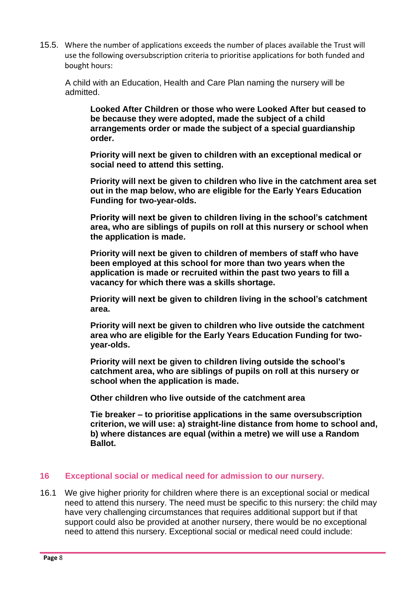15.5. Where the number of applications exceeds the number of places available the Trust will use the following oversubscription criteria to prioritise applications for both funded and bought hours:

A child with an Education, Health and Care Plan naming the nursery will be admitted.

**Looked After Children or those who were Looked After but ceased to be because they were adopted, made the subject of a child arrangements order or made the subject of a special guardianship order.** 

**Priority will next be given to children with an exceptional medical or social need to attend this setting.** 

**Priority will next be given to children who live in the catchment area set out in the map below, who are eligible for the Early Years Education Funding for two-year-olds.** 

**Priority will next be given to children living in the school's catchment area, who are siblings of pupils on roll at this nursery or school when the application is made.**

**Priority will next be given to children of members of staff who have been employed at this school for more than two years when the application is made or recruited within the past two years to fill a vacancy for which there was a skills shortage.** 

**Priority will next be given to children living in the school's catchment area.**

**Priority will next be given to children who live outside the catchment area who are eligible for the Early Years Education Funding for twoyear-olds.** 

**Priority will next be given to children living outside the school's catchment area, who are siblings of pupils on roll at this nursery or school when the application is made.** 

**Other children who live outside of the catchment area**

**Tie breaker – to prioritise applications in the same oversubscription criterion, we will use: a) straight-line distance from home to school and, b) where distances are equal (within a metre) we will use a Random Ballot.** 

#### **16 Exceptional social or medical need for admission to our nursery.**

16.1 We give higher priority for children where there is an exceptional social or medical need to attend this nursery. The need must be specific to this nursery: the child may have very challenging circumstances that requires additional support but if that support could also be provided at another nursery, there would be no exceptional need to attend this nursery. Exceptional social or medical need could include: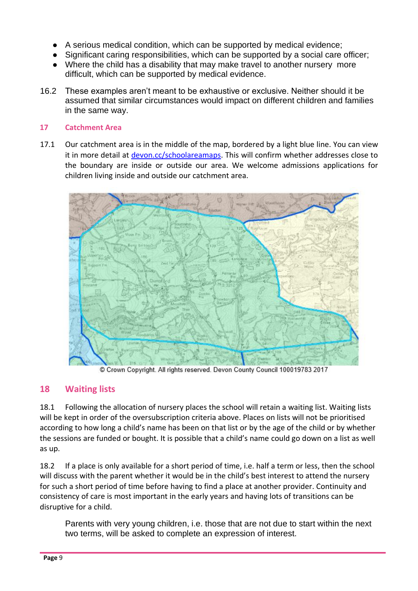- A serious medical condition, which can be supported by medical evidence;
- Significant caring responsibilities, which can be supported by a social care officer;
- Where the child has a disability that may make travel to another nursery more difficult, which can be supported by medical evidence.
- 16.2 These examples aren't meant to be exhaustive or exclusive. Neither should it be assumed that similar circumstances would impact on different children and families in the same way.

#### **17 Catchment Area**

17.1 Our catchment area is in the middle of the map, bordered by a light blue line. You can view it in more detail at [devon.cc/schoolareamaps.](http://devon.cc/schoolareamaps) This will confirm whether addresses close to the boundary are inside or outside our area. We welcome admissions applications for children living inside and outside our catchment area.



Crown Copyright. All rights reserved. Devon County Council 100019783 2017

### **18 Waiting lists**

18.1 Following the allocation of nursery places the school will retain a waiting list. Waiting lists will be kept in order of the oversubscription criteria above. Places on lists will not be prioritised according to how long a child's name has been on that list or by the age of the child or by whether the sessions are funded or bought. It is possible that a child's name could go down on a list as well as up.

18.2 If a place is only available for a short period of time, i.e. half a term or less, then the school will discuss with the parent whether it would be in the child's best interest to attend the nursery for such a short period of time before having to find a place at another provider. Continuity and consistency of care is most important in the early years and having lots of transitions can be disruptive for a child.

Parents with very young children, i.e. those that are not due to start within the next two terms, will be asked to complete an expression of interest.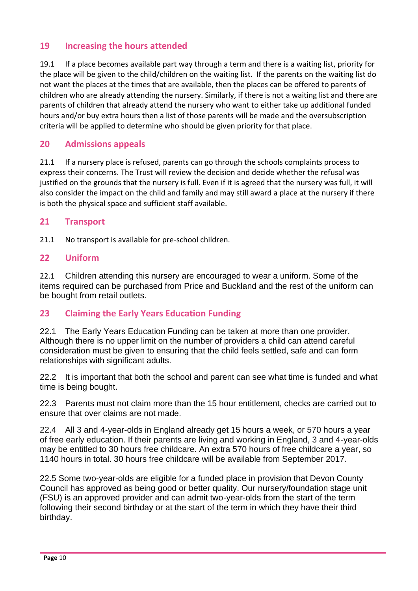### **19 Increasing the hours attended**

19.1 If a place becomes available part way through a term and there is a waiting list, priority for the place will be given to the child/children on the waiting list. If the parents on the waiting list do not want the places at the times that are available, then the places can be offered to parents of children who are already attending the nursery. Similarly, if there is not a waiting list and there are parents of children that already attend the nursery who want to either take up additional funded hours and/or buy extra hours then a list of those parents will be made and the oversubscription criteria will be applied to determine who should be given priority for that place.

### **20 Admissions appeals**

21.1 If a nursery place is refused, parents can go through the schools complaints process to express their concerns. The Trust will review the decision and decide whether the refusal was justified on the grounds that the nursery is full. Even if it is agreed that the nursery was full, it will also consider the impact on the child and family and may still award a place at the nursery if there is both the physical space and sufficient staff available.

#### **21 Transport**

21.1 No transport is available for pre-school children.

#### **22 Uniform**

22.1 Children attending this nursery are encouraged to wear a uniform. Some of the items required can be purchased from Price and Buckland and the rest of the uniform can be bought from retail outlets.

### **23 Claiming the Early Years Education Funding**

22.1 The Early Years Education Funding can be taken at more than one provider. Although there is no upper limit on the number of providers a child can attend careful consideration must be given to ensuring that the child feels settled, safe and can form relationships with significant adults.

22.2 It is important that both the school and parent can see what time is funded and what time is being bought.

22.3 Parents must not claim more than the 15 hour entitlement, checks are carried out to ensure that over claims are not made.

22.4 All 3 and 4-year-olds in England already get 15 hours a week, or 570 hours a year of free early education. If their parents are living and working in England, 3 and 4-year-olds may be entitled to 30 hours free childcare. An extra 570 hours of free childcare a year, so 1140 hours in total. 30 hours free childcare will be available from September 2017.

22.5 Some two-year-olds are eligible for a funded place in provision that Devon County Council has approved as being good or better quality. Our nursery/foundation stage unit (FSU) is an approved provider and can admit two-year-olds from the start of the term following their second birthday or at the start of the term in which they have their third birthday.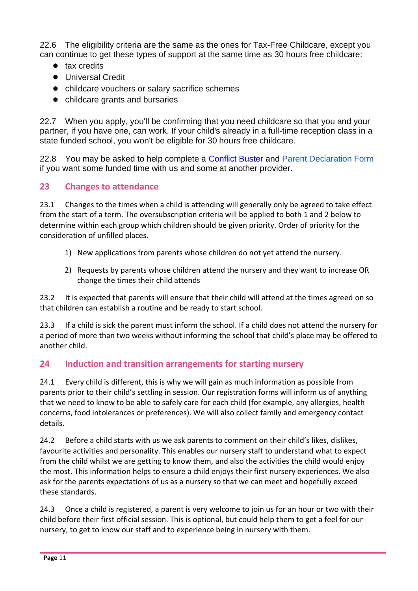22.6 The eligibility criteria are the same as the ones for Tax-Free Childcare, except you can continue to get these types of support at the same time as 30 hours free childcare:

- tax credits
- Universal Credit
- childcare vouchers or salary sacrifice schemes
- childcare grants and bursaries

22.7 When you apply, you'll be confirming that you need childcare so that you and your partner, if you have one, can work. If your child's already in a full-time reception class in a state funded school, you won't be eligible for 30 hours free childcare.

22.8 You may be asked to help complete a [Conflict Buster](https://devoncc.sharepoint.com/sites/PublicDocs/Education/_layouts/15/download.aspx?guestaccesstoken=JHuZGGAwx%2fp8opPQzaWpN6jZ%2b8TMpaKp1yUORJQK9Ws%3d&docid=0e9824319d83345d883279d6b89c418f3) and [Parent Declaration Form](https://devoncc.sharepoint.com/:w:/s/PublicDocs/Education/Eb66TyXmaAlFh4V5l1e6gaEBxkcGq57A48kXDPdO35trCA?rtime=Kn9FFkCe10g) if you want some funded time with us and some at another provider.

# **23 Changes to attendance**

23.1 Changes to the times when a child is attending will generally only be agreed to take effect from the start of a term. The oversubscription criteria will be applied to both 1 and 2 below to determine within each group which children should be given priority. Order of priority for the consideration of unfilled places.

- 1) New applications from parents whose children do not yet attend the nursery.
- 2) Requests by parents whose children attend the nursery and they want to increase OR change the times their child attends

23.2 It is expected that parents will ensure that their child will attend at the times agreed on so that children can establish a routine and be ready to start school.

23.3 If a child is sick the parent must inform the school. If a child does not attend the nursery for a period of more than two weeks without informing the school that child's place may be offered to another child.

### **24 Induction and transition arrangements for starting nursery**

24.1 Every child is different, this is why we will gain as much information as possible from parents prior to their child's settling in session. Our registration forms will inform us of anything that we need to know to be able to safely care for each child (for example, any allergies, health concerns, food intolerances or preferences). We will also collect family and emergency contact details.

24.2 Before a child starts with us we ask parents to comment on their child's likes, dislikes, favourite activities and personality. This enables our nursery staff to understand what to expect from the child whilst we are getting to know them, and also the activities the child would enjoy the most. This information helps to ensure a child enjoys their first nursery experiences. We also ask for the parents expectations of us as a nursery so that we can meet and hopefully exceed these standards.

24.3 Once a child is registered, a parent is very welcome to join us for an hour or two with their child before their first official session. This is optional, but could help them to get a feel for our nursery, to get to know our staff and to experience being in nursery with them.